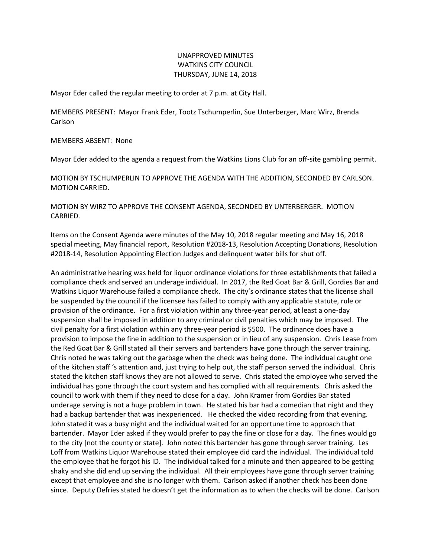## UNAPPROVED MINUTES WATKINS CITY COUNCIL THURSDAY, JUNE 14, 2018

Mayor Eder called the regular meeting to order at 7 p.m. at City Hall.

MEMBERS PRESENT: Mayor Frank Eder, Tootz Tschumperlin, Sue Unterberger, Marc Wirz, Brenda Carlson

MEMBERS ABSENT: None

Mayor Eder added to the agenda a request from the Watkins Lions Club for an off-site gambling permit.

MOTION BY TSCHUMPERLIN TO APPROVE THE AGENDA WITH THE ADDITION, SECONDED BY CARLSON. MOTION CARRIED.

MOTION BY WIRZ TO APPROVE THE CONSENT AGENDA, SECONDED BY UNTERBERGER. MOTION CARRIED.

Items on the Consent Agenda were minutes of the May 10, 2018 regular meeting and May 16, 2018 special meeting, May financial report, Resolution #2018-13, Resolution Accepting Donations, Resolution #2018-14, Resolution Appointing Election Judges and delinquent water bills for shut off.

An administrative hearing was held for liquor ordinance violations for three establishments that failed a compliance check and served an underage individual. In 2017, the Red Goat Bar & Grill, Gordies Bar and Watkins Liquor Warehouse failed a compliance check. The city's ordinance states that the license shall be suspended by the council if the licensee has failed to comply with any applicable statute, rule or provision of the ordinance. For a first violation within any three-year period, at least a one-day suspension shall be imposed in addition to any criminal or civil penalties which may be imposed. The civil penalty for a first violation within any three-year period is \$500. The ordinance does have a provision to impose the fine in addition to the suspension or in lieu of any suspension. Chris Lease from the Red Goat Bar & Grill stated all their servers and bartenders have gone through the server training. Chris noted he was taking out the garbage when the check was being done. The individual caught one of the kitchen staff 's attention and, just trying to help out, the staff person served the individual. Chris stated the kitchen staff knows they are not allowed to serve. Chris stated the employee who served the individual has gone through the court system and has complied with all requirements. Chris asked the council to work with them if they need to close for a day. John Kramer from Gordies Bar stated underage serving is not a huge problem in town. He stated his bar had a comedian that night and they had a backup bartender that was inexperienced. He checked the video recording from that evening. John stated it was a busy night and the individual waited for an opportune time to approach that bartender. Mayor Eder asked if they would prefer to pay the fine or close for a day. The fines would go to the city [not the county or state]. John noted this bartender has gone through server training. Les Loff from Watkins Liquor Warehouse stated their employee did card the individual. The individual told the employee that he forgot his ID. The individual talked for a minute and then appeared to be getting shaky and she did end up serving the individual. All their employees have gone through server training except that employee and she is no longer with them. Carlson asked if another check has been done since. Deputy Defries stated he doesn't get the information as to when the checks will be done. Carlson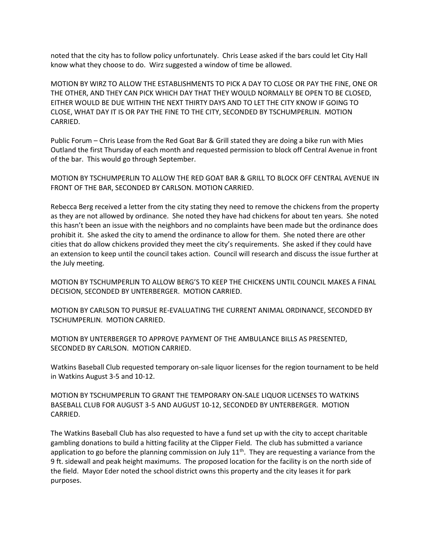noted that the city has to follow policy unfortunately. Chris Lease asked if the bars could let City Hall know what they choose to do. Wirz suggested a window of time be allowed.

MOTION BY WIRZ TO ALLOW THE ESTABLISHMENTS TO PICK A DAY TO CLOSE OR PAY THE FINE, ONE OR THE OTHER, AND THEY CAN PICK WHICH DAY THAT THEY WOULD NORMALLY BE OPEN TO BE CLOSED, EITHER WOULD BE DUE WITHIN THE NEXT THIRTY DAYS AND TO LET THE CITY KNOW IF GOING TO CLOSE, WHAT DAY IT IS OR PAY THE FINE TO THE CITY, SECONDED BY TSCHUMPERLIN. MOTION CARRIED.

Public Forum – Chris Lease from the Red Goat Bar & Grill stated they are doing a bike run with Mies Outland the first Thursday of each month and requested permission to block off Central Avenue in front of the bar. This would go through September.

MOTION BY TSCHUMPERLIN TO ALLOW THE RED GOAT BAR & GRILL TO BLOCK OFF CENTRAL AVENUE IN FRONT OF THE BAR, SECONDED BY CARLSON. MOTION CARRIED.

Rebecca Berg received a letter from the city stating they need to remove the chickens from the property as they are not allowed by ordinance. She noted they have had chickens for about ten years. She noted this hasn't been an issue with the neighbors and no complaints have been made but the ordinance does prohibit it. She asked the city to amend the ordinance to allow for them. She noted there are other cities that do allow chickens provided they meet the city's requirements. She asked if they could have an extension to keep until the council takes action. Council will research and discuss the issue further at the July meeting.

MOTION BY TSCHUMPERLIN TO ALLOW BERG'S TO KEEP THE CHICKENS UNTIL COUNCIL MAKES A FINAL DECISION, SECONDED BY UNTERBERGER. MOTION CARRIED.

MOTION BY CARLSON TO PURSUE RE-EVALUATING THE CURRENT ANIMAL ORDINANCE, SECONDED BY TSCHUMPERLIN. MOTION CARRIED.

MOTION BY UNTERBERGER TO APPROVE PAYMENT OF THE AMBULANCE BILLS AS PRESENTED, SECONDED BY CARLSON. MOTION CARRIED.

Watkins Baseball Club requested temporary on-sale liquor licenses for the region tournament to be held in Watkins August 3-5 and 10-12.

MOTION BY TSCHUMPERLIN TO GRANT THE TEMPORARY ON-SALE LIQUOR LICENSES TO WATKINS BASEBALL CLUB FOR AUGUST 3-5 AND AUGUST 10-12, SECONDED BY UNTERBERGER. MOTION CARRIED.

The Watkins Baseball Club has also requested to have a fund set up with the city to accept charitable gambling donations to build a hitting facility at the Clipper Field. The club has submitted a variance application to go before the planning commission on July  $11<sup>th</sup>$ . They are requesting a variance from the 9 ft. sidewall and peak height maximums. The proposed location for the facility is on the north side of the field. Mayor Eder noted the school district owns this property and the city leases it for park purposes.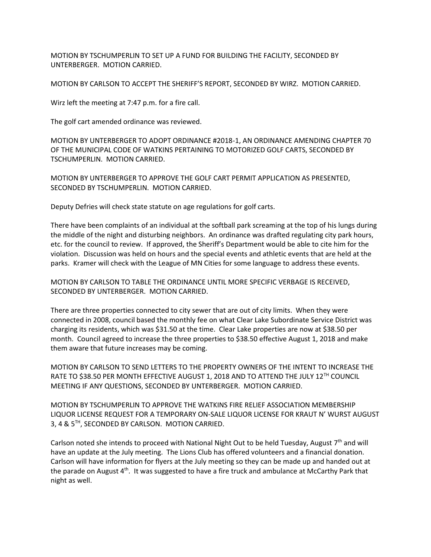MOTION BY TSCHUMPERLIN TO SET UP A FUND FOR BUILDING THE FACILITY, SECONDED BY UNTERBERGER. MOTION CARRIED.

MOTION BY CARLSON TO ACCEPT THE SHERIFF'S REPORT, SECONDED BY WIRZ. MOTION CARRIED.

Wirz left the meeting at 7:47 p.m. for a fire call.

The golf cart amended ordinance was reviewed.

MOTION BY UNTERBERGER TO ADOPT ORDINANCE #2018-1, AN ORDINANCE AMENDING CHAPTER 70 OF THE MUNICIPAL CODE OF WATKINS PERTAINING TO MOTORIZED GOLF CARTS, SECONDED BY TSCHUMPERLIN. MOTION CARRIED.

MOTION BY UNTERBERGER TO APPROVE THE GOLF CART PERMIT APPLICATION AS PRESENTED, SECONDED BY TSCHUMPERLIN. MOTION CARRIED.

Deputy Defries will check state statute on age regulations for golf carts.

There have been complaints of an individual at the softball park screaming at the top of his lungs during the middle of the night and disturbing neighbors. An ordinance was drafted regulating city park hours, etc. for the council to review. If approved, the Sheriff's Department would be able to cite him for the violation. Discussion was held on hours and the special events and athletic events that are held at the parks. Kramer will check with the League of MN Cities for some language to address these events.

MOTION BY CARLSON TO TABLE THE ORDINANCE UNTIL MORE SPECIFIC VERBAGE IS RECEIVED, SECONDED BY UNTERBERGER. MOTION CARRIED.

There are three properties connected to city sewer that are out of city limits. When they were connected in 2008, council based the monthly fee on what Clear Lake Subordinate Service District was charging its residents, which was \$31.50 at the time. Clear Lake properties are now at \$38.50 per month. Council agreed to increase the three properties to \$38.50 effective August 1, 2018 and make them aware that future increases may be coming.

MOTION BY CARLSON TO SEND LETTERS TO THE PROPERTY OWNERS OF THE INTENT TO INCREASE THE RATE TO \$38.50 PER MONTH EFFECTIVE AUGUST 1, 2018 AND TO ATTEND THE JULY 12<sup>TH</sup> COUNCIL MEETING IF ANY QUESTIONS, SECONDED BY UNTERBERGER. MOTION CARRIED.

MOTION BY TSCHUMPERLIN TO APPROVE THE WATKINS FIRE RELIEF ASSOCIATION MEMBERSHIP LIQUOR LICENSE REQUEST FOR A TEMPORARY ON-SALE LIQUOR LICENSE FOR KRAUT N' WURST AUGUST 3, 4 & 5TH, SECONDED BY CARLSON. MOTION CARRIED.

Carlson noted she intends to proceed with National Night Out to be held Tuesday, August  $7<sup>th</sup>$  and will have an update at the July meeting. The Lions Club has offered volunteers and a financial donation. Carlson will have information for flyers at the July meeting so they can be made up and handed out at the parade on August 4<sup>th</sup>. It was suggested to have a fire truck and ambulance at McCarthy Park that night as well.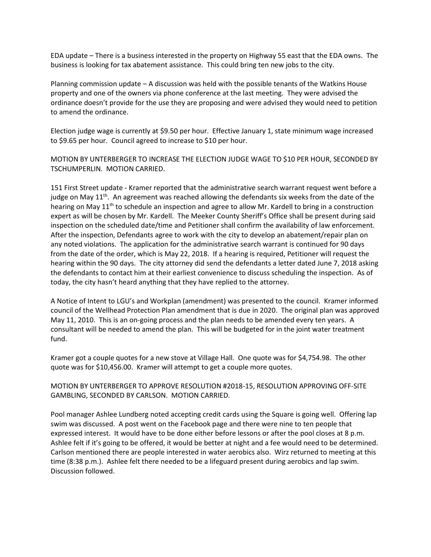EDA update – There is a business interested in the property on Highway 55 east that the EDA owns. The business is looking for tax abatement assistance. This could bring ten new jobs to the city.

Planning commission update – A discussion was held with the possible tenants of the Watkins House property and one of the owners via phone conference at the last meeting. They were advised the ordinance doesn't provide for the use they are proposing and were advised they would need to petition to amend the ordinance.

Election judge wage is currently at \$9.50 per hour. Effective January 1, state minimum wage increased to \$9.65 per hour. Council agreed to increase to \$10 per hour.

MOTION BY UNTERBERGER TO INCREASE THE ELECTION JUDGE WAGE TO \$10 PER HOUR, SECONDED BY TSCHUMPERLIN. MOTION CARRIED.

151 First Street update - Kramer reported that the administrative search warrant request went before a judge on May 11<sup>th</sup>. An agreement was reached allowing the defendants six weeks from the date of the hearing on May 11<sup>th</sup> to schedule an inspection and agree to allow Mr. Kardell to bring in a construction expert as will be chosen by Mr. Kardell. The Meeker County Sheriff's Office shall be present during said inspection on the scheduled date/time and Petitioner shall confirm the availability of law enforcement. After the inspection, Defendants agree to work with the city to develop an abatement/repair plan on any noted violations. The application for the administrative search warrant is continued for 90 days from the date of the order, which is May 22, 2018. If a hearing is required, Petitioner will request the hearing within the 90 days. The city attorney did send the defendants a letter dated June 7, 2018 asking the defendants to contact him at their earliest convenience to discuss scheduling the inspection. As of today, the city hasn't heard anything that they have replied to the attorney.

A Notice of Intent to LGU's and Workplan (amendment) was presented to the council. Kramer informed council of the Wellhead Protection Plan amendment that is due in 2020. The original plan was approved May 11, 2010. This is an on-going process and the plan needs to be amended every ten years. A consultant will be needed to amend the plan. This will be budgeted for in the joint water treatment fund.

Kramer got a couple quotes for a new stove at Village Hall. One quote was for \$4,754.98. The other quote was for \$10,456.00. Kramer will attempt to get a couple more quotes.

## MOTION BY UNTERBERGER TO APPROVE RESOLUTION #2018-15, RESOLUTION APPROVING OFF-SITE GAMBLING, SECONDED BY CARLSON. MOTION CARRIED.

Pool manager Ashlee Lundberg noted accepting credit cards using the Square is going well. Offering lap swim was discussed. A post went on the Facebook page and there were nine to ten people that expressed interest. It would have to be done either before lessons or after the pool closes at 8 p.m. Ashlee felt if it's going to be offered, it would be better at night and a fee would need to be determined. Carlson mentioned there are people interested in water aerobics also. Wirz returned to meeting at this time (8:38 p.m.). Ashlee felt there needed to be a lifeguard present during aerobics and lap swim. Discussion followed.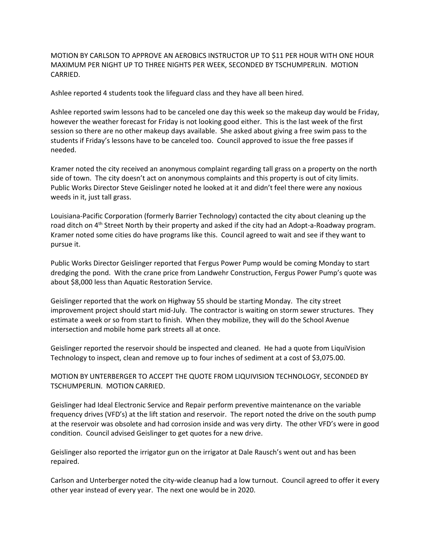MOTION BY CARLSON TO APPROVE AN AEROBICS INSTRUCTOR UP TO \$11 PER HOUR WITH ONE HOUR MAXIMUM PER NIGHT UP TO THREE NIGHTS PER WEEK, SECONDED BY TSCHUMPERLIN. MOTION CARRIED.

Ashlee reported 4 students took the lifeguard class and they have all been hired.

Ashlee reported swim lessons had to be canceled one day this week so the makeup day would be Friday, however the weather forecast for Friday is not looking good either. This is the last week of the first session so there are no other makeup days available. She asked about giving a free swim pass to the students if Friday's lessons have to be canceled too. Council approved to issue the free passes if needed.

Kramer noted the city received an anonymous complaint regarding tall grass on a property on the north side of town. The city doesn't act on anonymous complaints and this property is out of city limits. Public Works Director Steve Geislinger noted he looked at it and didn't feel there were any noxious weeds in it, just tall grass.

Louisiana-Pacific Corporation (formerly Barrier Technology) contacted the city about cleaning up the road ditch on 4<sup>th</sup> Street North by their property and asked if the city had an Adopt-a-Roadway program. Kramer noted some cities do have programs like this. Council agreed to wait and see if they want to pursue it.

Public Works Director Geislinger reported that Fergus Power Pump would be coming Monday to start dredging the pond. With the crane price from Landwehr Construction, Fergus Power Pump's quote was about \$8,000 less than Aquatic Restoration Service.

Geislinger reported that the work on Highway 55 should be starting Monday. The city street improvement project should start mid-July. The contractor is waiting on storm sewer structures. They estimate a week or so from start to finish. When they mobilize, they will do the School Avenue intersection and mobile home park streets all at once.

Geislinger reported the reservoir should be inspected and cleaned. He had a quote from LiquiVision Technology to inspect, clean and remove up to four inches of sediment at a cost of \$3,075.00.

## MOTION BY UNTERBERGER TO ACCEPT THE QUOTE FROM LIQUIVISION TECHNOLOGY, SECONDED BY TSCHUMPERLIN. MOTION CARRIED.

Geislinger had Ideal Electronic Service and Repair perform preventive maintenance on the variable frequency drives (VFD's) at the lift station and reservoir. The report noted the drive on the south pump at the reservoir was obsolete and had corrosion inside and was very dirty. The other VFD's were in good condition. Council advised Geislinger to get quotes for a new drive.

Geislinger also reported the irrigator gun on the irrigator at Dale Rausch's went out and has been repaired.

Carlson and Unterberger noted the city-wide cleanup had a low turnout. Council agreed to offer it every other year instead of every year. The next one would be in 2020.